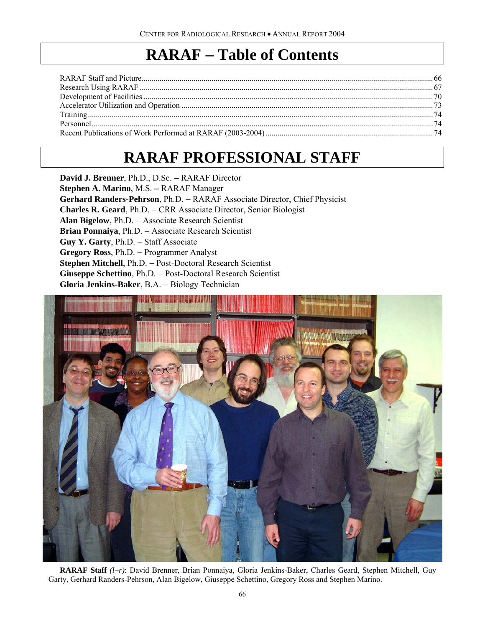## **RARAF** − **Table of Contents**

# **RARAF PROFESSIONAL STAFF**

**David J. Brenner**, Ph.D., D.Sc. − RARAF Director **Stephen A. Marino**, M.S. − RARAF Manager **Gerhard Randers-Pehrson**, Ph.D. − RARAF Associate Director, Chief Physicist **Charles R. Geard**, Ph.D. − CRR Associate Director, Senior Biologist **Alan Bigelow**, Ph.D. − Associate Research Scientist **Brian Ponnaiya**, Ph.D. − Associate Research Scientist **Guy Y. Garty**, Ph.D. − Staff Associate **Gregory Ross**, Ph.D. − Programmer Analyst **Stephen Mitchell**, Ph.D. − Post-Doctoral Research Scientist **Giuseppe Schettino**, Ph.D. − Post-Doctoral Research Scientist **Gloria Jenkins-Baker**, B.A. − Biology Technician



**RARAF Staff** *(l*−*r)*: David Brenner, Brian Ponnaiya, Gloria Jenkins-Baker, Charles Geard, Stephen Mitchell, Guy Garty, Gerhard Randers-Pehrson, Alan Bigelow, Giuseppe Schettino, Gregory Ross and Stephen Marino.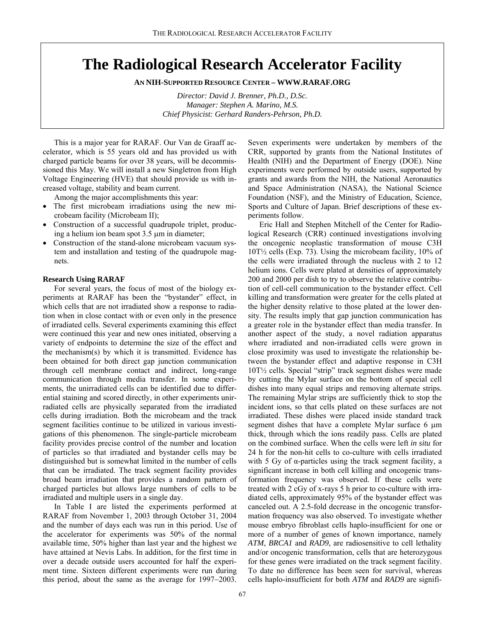### **The Radiological Research Accelerator Facility**

**AN NIH-SUPPORTED RESOURCE CENTER – WWW.RARAF.ORG** 

*Director: David J. Brenner, Ph.D., D.Sc. Manager: Stephen A. Marino, M.S. Chief Physicist: Gerhard Randers-Pehrson, Ph.D.* 

This is a major year for RARAF. Our Van de Graaff accelerator, which is 55 years old and has provided us with charged particle beams for over 38 years, will be decommissioned this May. We will install a new Singletron from High Voltage Engineering (HVE) that should provide us with increased voltage, stability and beam current.

Among the major accomplishments this year:

- The first microbeam irradiations using the new microbeam facility (Microbeam II);
- Construction of a successful quadrupole triplet, producing a helium ion beam spot 3.5 µm in diameter;
- Construction of the stand-alone microbeam vacuum system and installation and testing of the quadrupole magnets.

#### **Research Using RARAF**

For several years, the focus of most of the biology experiments at RARAF has been the "bystander" effect, in which cells that are not irradiated show a response to radiation when in close contact with or even only in the presence of irradiated cells. Several experiments examining this effect were continued this year and new ones initiated, observing a variety of endpoints to determine the size of the effect and the mechanism(s) by which it is transmitted. Evidence has been obtained for both direct gap junction communication through cell membrane contact and indirect, long-range communication through media transfer. In some experiments, the unirradiated cells can be identified due to differential staining and scored directly, in other experiments unirradiated cells are physically separated from the irradiated cells during irradiation. Both the microbeam and the track segment facilities continue to be utilized in various investigations of this phenomenon. The single-particle microbeam facility provides precise control of the number and location of particles so that irradiated and bystander cells may be distinguished but is somewhat limited in the number of cells that can be irradiated. The track segment facility provides broad beam irradiation that provides a random pattern of charged particles but allows large numbers of cells to be irradiated and multiple users in a single day.

In Table I are listed the experiments performed at RARAF from November 1, 2003 through October 31, 2004 and the number of days each was run in this period. Use of the accelerator for experiments was 50% of the normal available time, 50% higher than last year and the highest we have attained at Nevis Labs. In addition, for the first time in over a decade outside users accounted for half the experiment time. Sixteen different experiments were run during this period, about the same as the average for 1997−2003.

Seven experiments were undertaken by members of the CRR, supported by grants from the National Institutes of Health (NIH) and the Department of Energy (DOE). Nine experiments were performed by outside users, supported by grants and awards from the NIH, the National Aeronautics and Space Administration (NASA), the National Science Foundation (NSF), and the Ministry of Education, Science, Sports and Culture of Japan. Brief descriptions of these experiments follow.

Eric Hall and Stephen Mitchell of the Center for Radiological Research (CRR) continued investigations involving the oncogenic neoplastic transformation of mouse C3H 10T½ cells (Exp. 73). Using the microbeam facility, 10% of the cells were irradiated through the nucleus with 2 to 12 helium ions. Cells were plated at densities of approximately 200 and 2000 per dish to try to observe the relative contribution of cell-cell communication to the bystander effect. Cell killing and transformation were greater for the cells plated at the higher density relative to those plated at the lower density. The results imply that gap junction communication has a greater role in the bystander effect than media transfer. In another aspect of the study, a novel radiation apparatus where irradiated and non-irradiated cells were grown in close proximity was used to investigate the relationship between the bystander effect and adaptive response in C3H 10T½ cells. Special "strip" track segment dishes were made by cutting the Mylar surface on the bottom of special cell dishes into many equal strips and removing alternate strips. The remaining Mylar strips are sufficiently thick to stop the incident ions, so that cells plated on these surfaces are not irradiated. These dishes were placed inside standard track segment dishes that have a complete Mylar surface 6  $\mu$ m thick, through which the ions readily pass. Cells are plated on the combined surface. When the cells were left *in situ* for 24 h for the non-hit cells to co-culture with cells irradiated with 5 Gy of  $\alpha$ -particles using the track segment facility, a significant increase in both cell killing and oncogenic transformation frequency was observed. If these cells were treated with 2 cGy of x-rays 5 h prior to co-culture with irradiated cells, approximately 95% of the bystander effect was canceled out. A 2.5-fold decrease in the oncogenic transformation frequency was also observed. To investigate whether mouse embryo fibroblast cells haplo-insufficient for one or more of a number of genes of known importance, namely *ATM*, *BRCA1* and *RAD9*, are radiosensitive to cell lethality and/or oncogenic transformation, cells that are heterozygous for these genes were irradiated on the track segment facility. To date no difference has been seen for survival, whereas cells haplo-insufficient for both *ATM* and *RAD9* are signifi-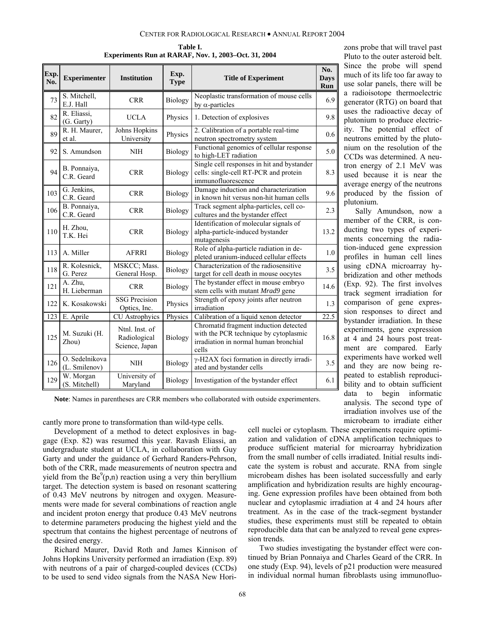| Table I.                                             |  |  |  |  |  |  |
|------------------------------------------------------|--|--|--|--|--|--|
| Experiments Run at RARAF, Nov. 1, 2003–Oct. 31, 2004 |  |  |  |  |  |  |

| Exp.<br>No. | <b>Experimenter</b>             | <b>Institution</b>                               | Exp.<br><b>Type</b> | <b>Title of Experiment</b>                                                                                                       | No.<br><b>Days</b><br>Run |
|-------------|---------------------------------|--------------------------------------------------|---------------------|----------------------------------------------------------------------------------------------------------------------------------|---------------------------|
| 73          | S. Mitchell,<br>E.J. Hall       | <b>CRR</b>                                       | Biology             | Neoplastic transformation of mouse cells<br>by $\alpha$ -particles                                                               | 6.9                       |
| 82          | R. Eliassi,<br>(G. Garty)       | <b>UCLA</b>                                      | Physics             | 1. Detection of explosives                                                                                                       | 9.8                       |
| 89          | R. H. Maurer,<br>et al.         | Johns Hopkins<br>University                      | Physics             | 2. Calibration of a portable real-time<br>neutron spectrometry system                                                            | 0.6                       |
| 92          | S. Amundson                     | <b>NIH</b>                                       | Biology             | Functional genomics of cellular response<br>to high-LET radiation                                                                | 5.0                       |
| 94          | B. Ponnaiya,<br>C.R. Geard      | <b>CRR</b>                                       | Biology             | Single cell responses in hit and bystander<br>cells: single-cell RT-PCR and protein<br>immunofluorescence                        | 8.3                       |
| 103         | G. Jenkins,<br>C.R. Geard       | <b>CRR</b>                                       | Biology             | Damage induction and characterization<br>in known hit versus non-hit human cells                                                 | 9.6                       |
| 106         | B. Ponnaiya,<br>C.R. Geard      | <b>CRR</b>                                       | Biology             | Track segment alpha-particles, cell co-<br>cultures and the bystander effect                                                     | 2.3                       |
| 110         | H. Zhou,<br>T.K. Hei            | <b>CRR</b>                                       | Biology             | Identification of molecular signals of<br>alpha-particle-induced bystander<br>mutagenesis                                        | 13.2                      |
| 113         | A. Miller                       | <b>AFRRI</b>                                     | Biology             | Role of alpha-particle radiation in de-<br>pleted uranium-induced cellular effects                                               | 1.0                       |
| 118         | R. Kolesnick,<br>G. Perez       | MSKCC; Mass.<br>General Hosp.                    | Biology             | Characterization of the radiosensitive<br>target for cell death in mouse oocytes                                                 | 3.5                       |
| 121         | A. Zhu,<br>H. Lieberman         | <b>CRR</b>                                       | Biology             | The bystander effect in mouse embryo<br>stem cells with mutant Mrad9 gene                                                        | 14.6                      |
| 122         | K. Kosakowski                   | <b>SSG Precision</b><br>Optics, Inc.             | Physics             | Strength of epoxy joints after neutron<br>irradiation                                                                            | 1.3                       |
| 123         | E. Aprile                       | CU Astrophyics                                   | Physics             | Calibration of a liquid xenon detector                                                                                           | $\overline{22.5}$         |
| 125         | M. Suzuki (H.<br>Zhou)          | Ntnl. Inst. of<br>Radiological<br>Science, Japan | Biology             | Chromatid fragment induction detected<br>with the PCR technique by cytoplasmic<br>irradiation in normal human bronchial<br>cells | 16.8                      |
| 126         | O. Sedelnikova<br>(L. Smilenov) | <b>NIH</b>                                       | Biology             | γ-H2AX foci formation in directly irradi-<br>ated and bystander cells                                                            | 3.5                       |
| 129         | W. Morgan<br>(S. Mitchell)      | University of<br>Maryland                        | Biology             | Investigation of the bystander effect                                                                                            | 6.1                       |

zons probe that will travel past Pluto to the outer asteroid belt. Since the probe will spend much of its life too far away to use solar panels, there will be a radioisotope thermoelectric generator (RTG) on board that uses the radioactive decay of plutonium to produce electricity. The potential effect of neutrons emitted by the plutonium on the resolution of the CCDs was determined. A neutron energy of 2.1 MeV was used because it is near the average energy of the neutrons produced by the fission of plutonium.

Sally Amundson, now a member of the CRR, is conducting two types of experiments concerning the radiation-induced gene expression profiles in human cell lines using cDNA microarray hybridization and other methods (Exp. 92). The first involves track segment irradiation for comparison of gene expression responses to direct and bystander irradiation. In these experiments, gene expression at 4 and 24 hours post treatment are compared. Early experiments have worked well and they are now being repeated to establish reproducibility and to obtain sufficient data to begin informatic analysis. The second type of irradiation involves use of the microbeam to irradiate either

**Note**: Names in parentheses are CRR members who collaborated with outside experimenters.

cantly more prone to transformation than wild-type cells.

Development of a method to detect explosives in baggage (Exp. 82) was resumed this year. Ravash Eliassi, an undergraduate student at UCLA, in collaboration with Guy Garty and under the guidance of Gerhard Randers-Pehrson, both of the CRR, made measurements of neutron spectra and yield from the  $Be^9(p,n)$  reaction using a very thin beryllium target. The detection system is based on resonant scattering of 0.43 MeV neutrons by nitrogen and oxygen. Measurements were made for several combinations of reaction angle and incident proton energy that produce 0.43 MeV neutrons to determine parameters producing the highest yield and the spectrum that contains the highest percentage of neutrons of the desired energy.

Richard Maurer, David Roth and James Kinnison of Johns Hopkins University performed an irradiation (Exp. 89) with neutrons of a pair of charged-coupled devices (CCDs) to be used to send video signals from the NASA New Horicell nuclei or cytoplasm. These experiments require optimization and validation of cDNA amplification techniques to produce sufficient material for microarray hybridization from the small number of cells irradiated. Initial results indicate the system is robust and accurate. RNA from single microbeam dishes has been isolated successfully and early amplification and hybridization results are highly encouraging. Gene expression profiles have been obtained from both nuclear and cytoplasmic irradiation at 4 and 24 hours after treatment. As in the case of the track-segment bystander studies, these experiments must still be repeated to obtain reproducible data that can be analyzed to reveal gene expression trends.

Two studies investigating the bystander effect were continued by Brian Ponnaiya and Charles Geard of the CRR. In one study (Exp. 94), levels of p21 production were measured in individual normal human fibroblasts using immunofluo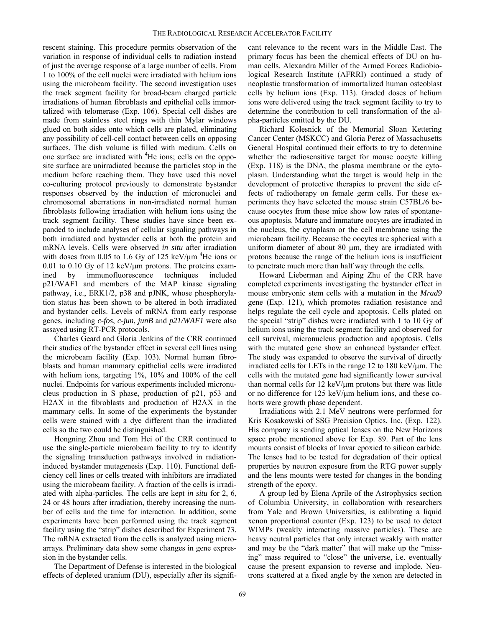rescent staining. This procedure permits observation of the variation in response of individual cells to radiation instead of just the average response of a large number of cells. From 1 to 100% of the cell nuclei were irradiated with helium ions using the microbeam facility. The second investigation uses the track segment facility for broad-beam charged particle irradiations of human fibroblasts and epithelial cells immortalized with telomerase (Exp. 106). Special cell dishes are made from stainless steel rings with thin Mylar windows glued on both sides onto which cells are plated, eliminating any possibility of cell-cell contact between cells on opposing surfaces. The dish volume is filled with medium. Cells on one surface are irradiated with <sup>4</sup>He ions; cells on the opposite surface are unirradiated because the particles stop in the medium before reaching them. They have used this novel co-culturing protocol previously to demonstrate bystander responses observed by the induction of micronuclei and chromosomal aberrations in non-irradiated normal human fibroblasts following irradiation with helium ions using the track segment facility. These studies have since been expanded to include analyses of cellular signaling pathways in both irradiated and bystander cells at both the protein and mRNA levels. Cells were observed *in situ* after irradiation with doses from 0.05 to 1.6 Gy of 125 keV/ $\mu$ m <sup>4</sup>He ions or 0.01 to 0.10 Gy of 12 keV/ $\mu$ m protons. The proteins examined by immunofluorescence techniques included p21/WAF1 and members of the MAP kinase signaling pathway, i.e., ERK1/2, p38 and pJNK, whose phosphorylation status has been shown to be altered in both irradiated and bystander cells. Levels of mRNA from early response genes, including *c-fos*, *c-jun*, *junB* and *p21/WAF1* were also assayed using RT-PCR protocols.

Charles Geard and Gloria Jenkins of the CRR continued their studies of the bystander effect in several cell lines using the microbeam facility (Exp. 103). Normal human fibroblasts and human mammary epithelial cells were irradiated with helium ions, targeting 1%, 10% and 100% of the cell nuclei. Endpoints for various experiments included micronucleus production in S phase, production of p21, p53 and H2AX in the fibroblasts and production of H2AX in the mammary cells. In some of the experiments the bystander cells were stained with a dye different than the irradiated cells so the two could be distinguished.

Hongning Zhou and Tom Hei of the CRR continued to use the single-particle microbeam facility to try to identify the signaling transduction pathways involved in radiationinduced bystander mutagenesis (Exp. 110). Functional deficiency cell lines or cells treated with inhibitors are irradiated using the microbeam facility. A fraction of the cells is irradiated with alpha-particles. The cells are kept *in situ* for 2, 6, 24 or 48 hours after irradiation, thereby increasing the number of cells and the time for interaction. In addition, some experiments have been performed using the track segment facility using the "strip" dishes described for Experiment 73. The mRNA extracted from the cells is analyzed using microarrays*.* Preliminary data show some changes in gene expression in the bystander cells.

The Department of Defense is interested in the biological effects of depleted uranium (DU), especially after its significant relevance to the recent wars in the Middle East. The primary focus has been the chemical effects of DU on human cells. Alexandra Miller of the Armed Forces Radiobiological Research Institute (AFRRI) continued a study of neoplastic transformation of immortalized human osteoblast cells by helium ions (Exp. 113). Graded doses of helium ions were delivered using the track segment facility to try to determine the contribution to cell transformation of the alpha-particles emitted by the DU.

Richard Kolesnick of the Memorial Sloan Kettering Cancer Center (MSKCC) and Gloria Perez of Massachusetts General Hospital continued their efforts to try to determine whether the radiosensitive target for mouse oocyte killing (Exp. 118) is the DNA, the plasma membrane or the cytoplasm. Understanding what the target is would help in the development of protective therapies to prevent the side effects of radiotherapy on female germ cells. For these experiments they have selected the mouse strain C57BL/6 because oocytes from these mice show low rates of spontaneous apoptosis. Mature and immature oocytes are irradiated in the nucleus, the cytoplasm or the cell membrane using the microbeam facility. Because the oocytes are spherical with a uniform diameter of about 80 µm, they are irradiated with protons because the range of the helium ions is insufficient to penetrate much more than half way through the cells.

Howard Lieberman and Aiping Zhu of the CRR have completed experiments investigating the bystander effect in mouse embryonic stem cells with a mutation in the *Mrad9* gene (Exp. 121), which promotes radiation resistance and helps regulate the cell cycle and apoptosis. Cells plated on the special "strip" dishes were irradiated with 1 to 10 Gy of helium ions using the track segment facility and observed for cell survival, micronucleus production and apoptosis. Cells with the mutated gene show an enhanced bystander effect. The study was expanded to observe the survival of directly irradiated cells for LETs in the range 12 to 180 keV/µm. The cells with the mutated gene had significantly lower survival than normal cells for  $12 \text{ keV}/\text{µm}$  protons but there was little or no difference for 125 keV/µm helium ions, and these cohorts were growth phase dependent.

Irradiations with 2.1 MeV neutrons were performed for Kris Kosakowski of SSG Precision Optics, Inc. (Exp. 122). His company is sending optical lenses on the New Horizons space probe mentioned above for Exp. 89. Part of the lens mounts consist of blocks of Invar epoxied to silicon carbide. The lenses had to be tested for degradation of their optical properties by neutron exposure from the RTG power supply and the lens mounts were tested for changes in the bonding strength of the epoxy.

A group led by Elena Aprile of the Astrophysics section of Columbia University, in collaboration with researchers from Yale and Brown Universities, is calibrating a liquid xenon proportional counter (Exp. 123) to be used to detect WIMPs (weakly interacting massive particles). These are heavy neutral particles that only interact weakly with matter and may be the "dark matter" that will make up the "missing" mass required to "close" the universe, i.e. eventually cause the present expansion to reverse and implode. Neutrons scattered at a fixed angle by the xenon are detected in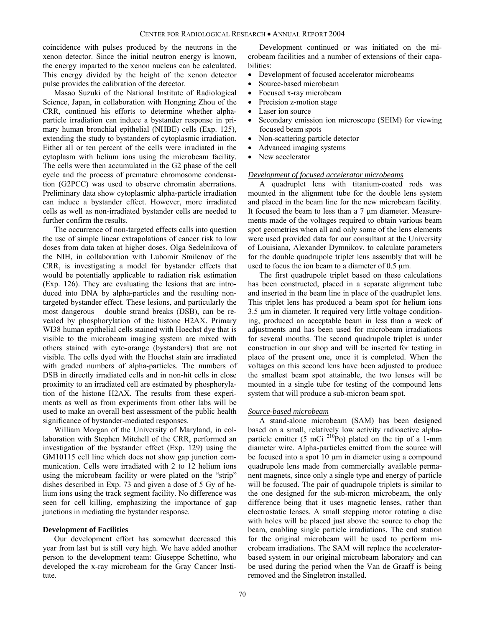coincidence with pulses produced by the neutrons in the xenon detector. Since the initial neutron energy is known, the energy imparted to the xenon nucleus can be calculated. This energy divided by the height of the xenon detector pulse provides the calibration of the detector.

Masao Suzuki of the National Institute of Radiological Science, Japan, in collaboration with Hongning Zhou of the CRR, continued his efforts to determine whether alphaparticle irradiation can induce a bystander response in primary human bronchial epithelial (NHBE) cells (Exp. 125), extending the study to bystanders of cytoplasmic irradiation. Either all or ten percent of the cells were irradiated in the cytoplasm with helium ions using the microbeam facility. The cells were then accumulated in the G2 phase of the cell cycle and the process of premature chromosome condensation (G2PCC) was used to observe chromatin aberrations. Preliminary data show cytoplasmic alpha-particle irradiation can induce a bystander effect. However, more irradiated cells as well as non-irradiated bystander cells are needed to further confirm the results.

The occurrence of non-targeted effects calls into question the use of simple linear extrapolations of cancer risk to low doses from data taken at higher doses. Olga Sedelnikova of the NIH, in collaboration with Lubomir Smilenov of the CRR, is investigating a model for bystander effects that would be potentially applicable to radiation risk estimation (Exp. 126). They are evaluating the lesions that are introduced into DNA by alpha-particles and the resulting nontargeted bystander effect. These lesions, and particularly the most dangerous – double strand breaks (DSB), can be revealed by phosphorylation of the histone H2AX. Primary WI38 human epithelial cells stained with Hoechst dye that is visible to the microbeam imaging system are mixed with others stained with cyto-orange (bystanders) that are not visible. The cells dyed with the Hoechst stain are irradiated with graded numbers of alpha-particles. The numbers of DSB in directly irradiated cells and in non-hit cells in close proximity to an irradiated cell are estimated by phosphorylation of the histone H2AX. The results from these experiments as well as from experiments from other labs will be used to make an overall best assessment of the public health significance of bystander-mediated responses.

William Morgan of the University of Maryland, in collaboration with Stephen Mitchell of the CRR, performed an investigation of the bystander effect (Exp. 129) using the GM10115 cell line which does not show gap junction communication. Cells were irradiated with 2 to 12 helium ions using the microbeam facility or were plated on the "strip" dishes described in Exp. 73 and given a dose of 5 Gy of helium ions using the track segment facility. No difference was seen for cell killing, emphasizing the importance of gap junctions in mediating the bystander response.

#### **Development of Facilities**

Our development effort has somewhat decreased this year from last but is still very high. We have added another person to the development team: Giuseppe Schettino, who developed the x-ray microbeam for the Gray Cancer Institute.

Development continued or was initiated on the microbeam facilities and a number of extensions of their capabilities:

- Development of focused accelerator microbeams
- Source-based microbeam
- Focused x-ray microbeam
- Precision z-motion stage
- Laser ion source
- Secondary emission ion microscope (SEIM) for viewing focused beam spots
- Non-scattering particle detector
- Advanced imaging systems
- New accelerator

#### *Development of focused accelerator microbeams*

A quadruplet lens with titanium-coated rods was mounted in the alignment tube for the double lens system and placed in the beam line for the new microbeam facility. It focused the beam to less than a 7 µm diameter. Measurements made of the voltages required to obtain various beam spot geometries when all and only some of the lens elements were used provided data for our consultant at the University of Louisiana, Alexander Dymnikov, to calculate parameters for the double quadrupole triplet lens assembly that will be used to focus the ion beam to a diameter of  $0.5 \mu m$ .

The first quadrupole triplet based on these calculations has been constructed, placed in a separate alignment tube and inserted in the beam line in place of the quadruplet lens. This triplet lens has produced a beam spot for helium ions 3.5 µm in diameter. It required very little voltage conditioning, produced an acceptable beam in less than a week of adjustments and has been used for microbeam irradiations for several months. The second quadrupole triplet is under construction in our shop and will be inserted for testing in place of the present one, once it is completed. When the voltages on this second lens have been adjusted to produce the smallest beam spot attainable, the two lenses will be mounted in a single tube for testing of the compound lens system that will produce a sub-micron beam spot.

#### *Source-based microbeam*

A stand-alone microbeam (SAM) has been designed based on a small, relatively low activity radioactive alphaparticle emitter (5 mCi  $^{210}P_0$ ) plated on the tip of a 1-mm diameter wire. Alpha-particles emitted from the source will be focused into a spot 10 µm in diameter using a compound quadrupole lens made from commercially available permanent magnets, since only a single type and energy of particle will be focused. The pair of quadrupole triplets is similar to the one designed for the sub-micron microbeam, the only difference being that it uses magnetic lenses, rather than electrostatic lenses. A small stepping motor rotating a disc with holes will be placed just above the source to chop the beam, enabling single particle irradiations. The end station for the original microbeam will be used to perform microbeam irradiations. The SAM will replace the acceleratorbased system in our original microbeam laboratory and can be used during the period when the Van de Graaff is being removed and the Singletron installed.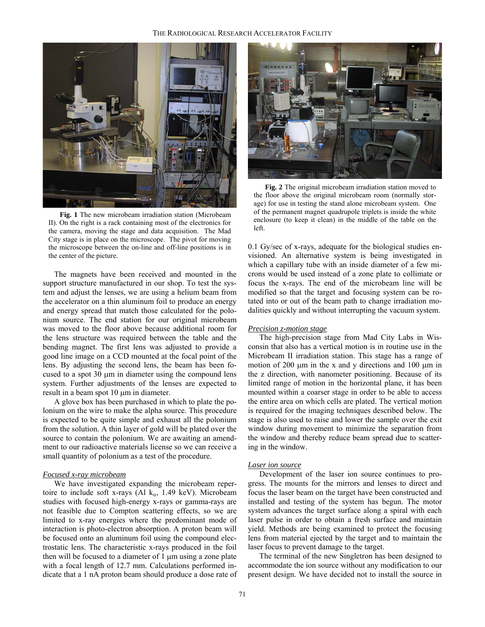

**Fig. 1** The new microbeam irradiation station (Microbeam II). On the right is a rack containing most of the electronics for the camera, moving the stage and data acquisition. The Mad City stage is in place on the microscope. The pivot for moving the microscope between the on-line and off-line positions is in the center of the picture.

The magnets have been received and mounted in the support structure manufactured in our shop. To test the system and adjust the lenses, we are using a helium beam from the accelerator on a thin aluminum foil to produce an energy and energy spread that match those calculated for the polonium source. The end station for our original microbeam was moved to the floor above because additional room for the lens structure was required between the table and the bending magnet. The first lens was adjusted to provide a good line image on a CCD mounted at the focal point of the lens. By adjusting the second lens, the beam has been focused to a spot  $30 \mu m$  in diameter using the compound lens system. Further adjustments of the lenses are expected to result in a beam spot 10 µm in diameter.

A glove box has been purchased in which to plate the polonium on the wire to make the alpha source. This procedure is expected to be quite simple and exhaust all the polonium from the solution. A thin layer of gold will be plated over the source to contain the polonium. We are awaiting an amendment to our radioactive materials license so we can receive a small quantity of polonium as a test of the procedure.

#### *Focused x-ray microbeam*

We have investigated expanding the microbeam repertoire to include soft x-rays (Al  $k_{\alpha}$ , 1.49 keV). Microbeam studies with focused high-energy x-rays or gamma-rays are not feasible due to Compton scattering effects, so we are limited to x-ray energies where the predominant mode of interaction is photo-electron absorption. A proton beam will be focused onto an aluminum foil using the compound electrostatic lens. The characteristic x-rays produced in the foil then will be focused to a diameter of 1 µm using a zone plate with a focal length of 12.7 mm. Calculations performed indicate that a 1 nA proton beam should produce a dose rate of



**Fig. 2** The original microbeam irradiation station moved to the floor above the original microbeam room (normally storage) for use in testing the stand alone microbeam system. One of the permanent magnet quadrupole triplets is inside the white enclosure (to keep it clean) in the middle of the table on the left.

0.1 Gy/sec of x-rays, adequate for the biological studies envisioned. An alternative system is being investigated in which a capillary tube with an inside diameter of a few microns would be used instead of a zone plate to collimate or focus the x-rays. The end of the microbeam line will be modified so that the target and focusing system can be rotated into or out of the beam path to change irradiation modalities quickly and without interrupting the vacuum system.

#### *Precision z-motion stage*

The high-precision stage from Mad City Labs in Wisconsin that also has a vertical motion is in routine use in the Microbeam II irradiation station. This stage has a range of motion of 200  $\mu$ m in the x and y directions and 100  $\mu$ m in the z direction, with nanometer positioning. Because of its limited range of motion in the horizontal plane, it has been mounted within a coarser stage in order to be able to access the entire area on which cells are plated. The vertical motion is required for the imaging techniques described below. The stage is also used to raise and lower the sample over the exit window during movement to minimize the separation from the window and thereby reduce beam spread due to scattering in the window.

#### *Laser ion source*

Development of the laser ion source continues to progress. The mounts for the mirrors and lenses to direct and focus the laser beam on the target have been constructed and installed and testing of the system has begun. The motor system advances the target surface along a spiral with each laser pulse in order to obtain a fresh surface and maintain yield. Methods are being examined to protect the focusing lens from material ejected by the target and to maintain the laser focus to prevent damage to the target.

The terminal of the new Singletron has been designed to accommodate the ion source without any modification to our present design. We have decided not to install the source in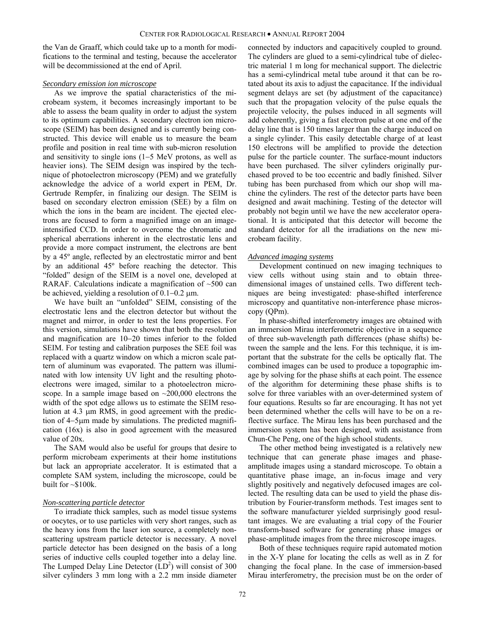the Van de Graaff, which could take up to a month for modifications to the terminal and testing, because the accelerator will be decommissioned at the end of April.

#### *Secondary emission ion microscope*

As we improve the spatial characteristics of the microbeam system, it becomes increasingly important to be able to assess the beam quality in order to adjust the system to its optimum capabilities. A secondary electron ion microscope (SEIM) has been designed and is currently being constructed. This device will enable us to measure the beam profile and position in real time with sub-micron resolution and sensitivity to single ions (1−5 MeV protons, as well as heavier ions). The SEIM design was inspired by the technique of photoelectron microscopy (PEM) and we gratefully acknowledge the advice of a world expert in PEM, Dr. Gertrude Rempfer, in finalizing our design. The SEIM is based on secondary electron emission (SEE) by a film on which the ions in the beam are incident. The ejected electrons are focused to form a magnified image on an imageintensified CCD. In order to overcome the chromatic and spherical aberrations inherent in the electrostatic lens and provide a more compact instrument, the electrons are bent by a 45º angle, reflected by an electrostatic mirror and bent by an additional 45º before reaching the detector. This "folded" design of the SEIM is a novel one, developed at RARAF. Calculations indicate a magnification of  $~500$  can be achieved, yielding a resolution of 0.1−0.2 µm.

We have built an "unfolded" SEIM, consisting of the electrostatic lens and the electron detector but without the magnet and mirror, in order to test the lens properties. For this version, simulations have shown that both the resolution and magnification are 10−20 times inferior to the folded SEIM. For testing and calibration purposes the SEE foil was replaced with a quartz window on which a micron scale pattern of aluminum was evaporated. The pattern was illuminated with low intensity UV light and the resulting photoelectrons were imaged, similar to a photoelectron microscope. In a sample image based on ~200,000 electrons the width of the spot edge allows us to estimate the SEIM resolution at 4.3 µm RMS, in good agreement with the prediction of 4−5µm made by simulations. The predicted magnification (16x) is also in good agreement with the measured value of 20x.

The SAM would also be useful for groups that desire to perform microbeam experiments at their home institutions but lack an appropriate accelerator. It is estimated that a complete SAM system, including the microscope, could be built for  $\sim$ \$100k.

#### *Non-scattering particle detector*

To irradiate thick samples, such as model tissue systems or oocytes, or to use particles with very short ranges, such as the heavy ions from the laser ion source, a completely nonscattering upstream particle detector is necessary. A novel particle detector has been designed on the basis of a long series of inductive cells coupled together into a delay line. The Lumped Delay Line Detector  $(LD<sup>2</sup>)$  will consist of 300 silver cylinders 3 mm long with a 2.2 mm inside diameter

connected by inductors and capacitively coupled to ground. The cylinders are glued to a semi-cylindrical tube of dielectric material 1 m long for mechanical support. The dielectric has a semi-cylindrical metal tube around it that can be rotated about its axis to adjust the capacitance. If the individual segment delays are set (by adjustment of the capacitance) such that the propagation velocity of the pulse equals the projectile velocity, the pulses induced in all segments will add coherently, giving a fast electron pulse at one end of the delay line that is 150 times larger than the charge induced on a single cylinder. This easily detectable charge of at least 150 electrons will be amplified to provide the detection pulse for the particle counter. The surface-mount inductors have been purchased. The silver cylinders originally purchased proved to be too eccentric and badly finished. Silver tubing has been purchased from which our shop will machine the cylinders. The rest of the detector parts have been designed and await machining. Testing of the detector will probably not begin until we have the new accelerator operational. It is anticipated that this detector will become the standard detector for all the irradiations on the new microbeam facility.

#### *Advanced imaging systems*

Development continued on new imaging techniques to view cells without using stain and to obtain threedimensional images of unstained cells. Two different techniques are being investigated: phase-shifted interference microscopy and quantitative non-interference phase microscopy (QPm).

In phase-shifted interferometry images are obtained with an immersion Mirau interferometric objective in a sequence of three sub-wavelength path differences (phase shifts) between the sample and the lens. For this technique, it is important that the substrate for the cells be optically flat. The combined images can be used to produce a topographic image by solving for the phase shifts at each point. The essence of the algorithm for determining these phase shifts is to solve for three variables with an over-determined system of four equations. Results so far are encouraging. It has not yet been determined whether the cells will have to be on a reflective surface. The Mirau lens has been purchased and the immersion system has been designed, with assistance from Chun-Che Peng, one of the high school students.

The other method being investigated is a relatively new technique that can generate phase images and phaseamplitude images using a standard microscope. To obtain a quantitative phase image, an in-focus image and very slightly positively and negatively defocused images are collected. The resulting data can be used to yield the phase distribution by Fourier-transform methods. Test images sent to the software manufacturer yielded surprisingly good resultant images. We are evaluating a trial copy of the Fourier transform-based software for generating phase images or phase-amplitude images from the three microscope images.

Both of these techniques require rapid automated motion in the X-Y plane for locating the cells as well as in Z for changing the focal plane. In the case of immersion-based Mirau interferometry, the precision must be on the order of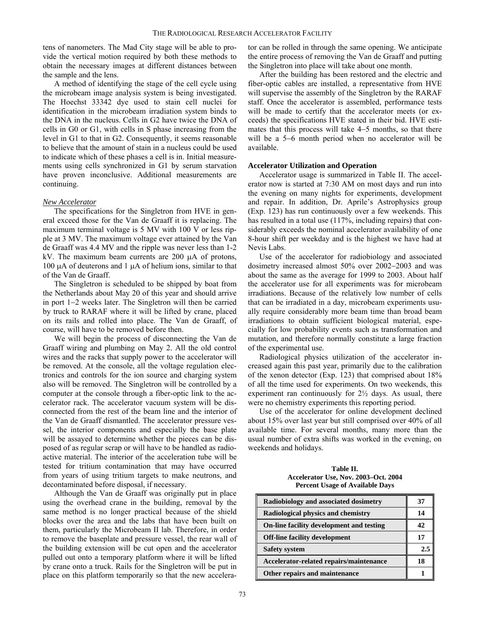tens of nanometers. The Mad City stage will be able to provide the vertical motion required by both these methods to obtain the necessary images at different distances between the sample and the lens.

A method of identifying the stage of the cell cycle using the microbeam image analysis system is being investigated. The Hoechst 33342 dye used to stain cell nuclei for identification in the microbeam irradiation system binds to the DNA in the nucleus. Cells in G2 have twice the DNA of cells in G0 or G1, with cells in S phase increasing from the level in G1 to that in G2. Consequently, it seems reasonable to believe that the amount of stain in a nucleus could be used to indicate which of these phases a cell is in. Initial measurements using cells synchronized in G1 by serum starvation have proven inconclusive. Additional measurements are continuing.

#### *New Accelerator*

The specifications for the Singletron from HVE in general exceed those for the Van de Graaff it is replacing. The maximum terminal voltage is 5 MV with 100 V or less ripple at 3 MV. The maximum voltage ever attained by the Van de Graaff was 4.4 MV and the ripple was never less than 1-2 kV. The maximum beam currents are 200 µA of protons, 100  $\mu$ A of deuterons and 1  $\mu$ A of helium ions, similar to that of the Van de Graaff.

The Singletron is scheduled to be shipped by boat from the Netherlands about May 20 of this year and should arrive in port 1−2 weeks later. The Singletron will then be carried by truck to RARAF where it will be lifted by crane, placed on its rails and rolled into place. The Van de Graaff, of course, will have to be removed before then.

We will begin the process of disconnecting the Van de Graaff wiring and plumbing on May 2. All the old control wires and the racks that supply power to the accelerator will be removed. At the console, all the voltage regulation electronics and controls for the ion source and charging system also will be removed. The Singletron will be controlled by a computer at the console through a fiber-optic link to the accelerator rack. The accelerator vacuum system will be disconnected from the rest of the beam line and the interior of the Van de Graaff dismantled. The accelerator pressure vessel, the interior components and especially the base plate will be assayed to determine whether the pieces can be disposed of as regular scrap or will have to be handled as radioactive material. The interior of the acceleration tube will be tested for tritium contamination that may have occurred from years of using tritium targets to make neutrons, and decontaminated before disposal, if necessary.

Although the Van de Graaff was originally put in place using the overhead crane in the building, removal by the same method is no longer practical because of the shield blocks over the area and the labs that have been built on them, particularly the Microbeam II lab. Therefore, in order to remove the baseplate and pressure vessel, the rear wall of the building extension will be cut open and the accelerator pulled out onto a temporary platform where it will be lifted by crane onto a truck. Rails for the Singletron will be put in place on this platform temporarily so that the new accelerator can be rolled in through the same opening. We anticipate the entire process of removing the Van de Graaff and putting the Singletron into place will take about one month.

After the building has been restored and the electric and fiber-optic cables are installed, a representative from HVE will supervise the assembly of the Singletron by the RARAF staff. Once the accelerator is assembled, performance tests will be made to certify that the accelerator meets (or exceeds) the specifications HVE stated in their bid. HVE estimates that this process will take 4−5 months, so that there will be a 5−6 month period when no accelerator will be available.

#### **Accelerator Utilization and Operation**

Accelerator usage is summarized in Table II. The accelerator now is started at 7:30 AM on most days and run into the evening on many nights for experiments, development and repair. In addition, Dr. Aprile's Astrophysics group (Exp. 123) has run continuously over a few weekends. This has resulted in a total use (117%, including repairs) that considerably exceeds the nominal accelerator availability of one 8-hour shift per weekday and is the highest we have had at Nevis Labs.

Use of the accelerator for radiobiology and associated dosimetry increased almost 50% over 2002−2003 and was about the same as the average for 1999 to 2003. About half the accelerator use for all experiments was for microbeam irradiations. Because of the relatively low number of cells that can be irradiated in a day, microbeam experiments usually require considerably more beam time than broad beam irradiations to obtain sufficient biological material, especially for low probability events such as transformation and mutation, and therefore normally constitute a large fraction of the experimental use.

Radiological physics utilization of the accelerator increased again this past year, primarily due to the calibration of the xenon detector (Exp. 123) that comprised about 18% of all the time used for experiments. On two weekends, this experiment ran continuously for  $2\frac{1}{2}$  days. As usual, there were no chemistry experiments this reporting period.

Use of the accelerator for online development declined about 15% over last year but still comprised over 40% of all available time. For several months, many more than the usual number of extra shifts was worked in the evening, on weekends and holidays.

**Table II. Accelerator Use, Nov. 2003–Oct. 2004 Percent Usage of Available Days**

| Radiobiology and associated dosimetry    | 37  |
|------------------------------------------|-----|
| Radiological physics and chemistry       | 14  |
| On-line facility development and testing | 42  |
| <b>Off-line facility development</b>     | 17  |
| <b>Safety system</b>                     | 2.5 |
| Accelerator-related repairs/maintenance  | 18  |
| Other repairs and maintenance            |     |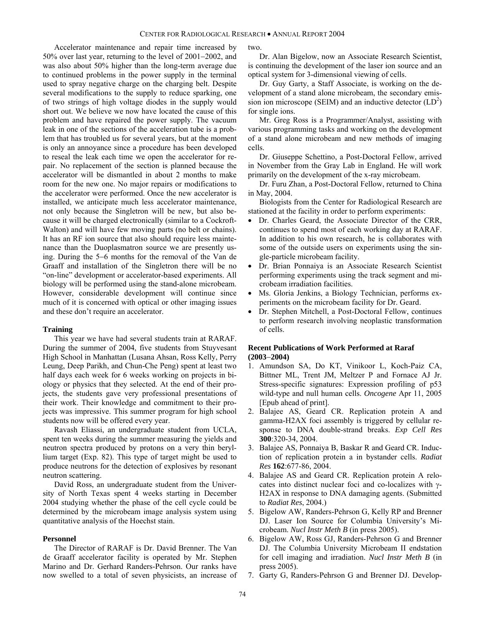Accelerator maintenance and repair time increased by 50% over last year, returning to the level of 2001−2002, and was also about 50% higher than the long-term average due to continued problems in the power supply in the terminal used to spray negative charge on the charging belt. Despite several modifications to the supply to reduce sparking, one of two strings of high voltage diodes in the supply would short out. We believe we now have located the cause of this problem and have repaired the power supply. The vacuum leak in one of the sections of the acceleration tube is a problem that has troubled us for several years, but at the moment is only an annoyance since a procedure has been developed to reseal the leak each time we open the accelerator for repair. No replacement of the section is planned because the accelerator will be dismantled in about 2 months to make room for the new one. No major repairs or modifications to the accelerator were performed. Once the new accelerator is installed, we anticipate much less accelerator maintenance, not only because the Singletron will be new, but also because it will be charged electronically (similar to a Cockroft-Walton) and will have few moving parts (no belt or chains). It has an RF ion source that also should require less maintenance than the Duoplasmatron source we are presently using. During the 5−6 months for the removal of the Van de Graaff and installation of the Singletron there will be no "on-line" development or accelerator-based experiments. All biology will be performed using the stand-alone microbeam. However, considerable development will continue since much of it is concerned with optical or other imaging issues and these don't require an accelerator.

#### **Training**

This year we have had several students train at RARAF. During the summer of 2004, five students from Stuyvesant High School in Manhattan (Lusana Ahsan, Ross Kelly, Perry Leung, Deep Parikh, and Chun-Che Peng) spent at least two half days each week for 6 weeks working on projects in biology or physics that they selected. At the end of their projects, the students gave very professional presentations of their work. Their knowledge and commitment to their projects was impressive. This summer program for high school students now will be offered every year.

Ravash Eliassi, an undergraduate student from UCLA, spent ten weeks during the summer measuring the yields and neutron spectra produced by protons on a very thin beryllium target (Exp. 82). This type of target might be used to produce neutrons for the detection of explosives by resonant neutron scattering.

David Ross, an undergraduate student from the University of North Texas spent 4 weeks starting in December 2004 studying whether the phase of the cell cycle could be determined by the microbeam image analysis system using quantitative analysis of the Hoechst stain.

#### **Personnel**

The Director of RARAF is Dr. David Brenner. The Van de Graaff accelerator facility is operated by Mr. Stephen Marino and Dr. Gerhard Randers-Pehrson. Our ranks have now swelled to a total of seven physicists, an increase of two.

Dr. Alan Bigelow, now an Associate Research Scientist, is continuing the development of the laser ion source and an optical system for 3-dimensional viewing of cells.

Dr. Guy Garty, a Staff Associate, is working on the development of a stand alone microbeam, the secondary emission ion microscope (SEIM) and an inductive detector  $(LD<sup>2</sup>)$ for single ions.

Mr. Greg Ross is a Programmer/Analyst, assisting with various programming tasks and working on the development of a stand alone microbeam and new methods of imaging cells.

Dr. Giuseppe Schettino, a Post-Doctoral Fellow, arrived in November from the Gray Lab in England. He will work primarily on the development of the x-ray microbeam.

Dr. Furu Zhan, a Post-Doctoral Fellow, returned to China in May, 2004.

Biologists from the Center for Radiological Research are stationed at the facility in order to perform experiments:

- Dr. Charles Geard, the Associate Director of the CRR, continues to spend most of each working day at RARAF. In addition to his own research, he is collaborates with some of the outside users on experiments using the single-particle microbeam facility.
- Dr. Brian Ponnaiya is an Associate Research Scientist performing experiments using the track segment and microbeam irradiation facilities.
- Ms. Gloria Jenkins, a Biology Technician, performs experiments on the microbeam facility for Dr. Geard.
- Dr. Stephen Mitchell, a Post-Doctoral Fellow, continues to perform research involving neoplastic transformation of cells.

#### **Recent Publications of Work Performed at Raraf (2003**−**2004)**

- 1. Amundson SA, Do KT, Vinikoor L, Koch-Paiz CA, Bittner ML, Trent JM, Meltzer P and Fornace AJ Jr. Stress-specific signatures: Expression profiling of p53 wild-type and null human cells. *Oncogene* Apr 11, 2005 [Epub ahead of print].
- 2. Balajee AS, Geard CR. Replication protein A and gamma-H2AX foci assembly is triggered by cellular response to DNA double-strand breaks. *Exp Cell Res* **300**:320-34, 2004.
- 3. Balajee AS, Ponnaiya B, Baskar R and Geard CR. Induction of replication protein a in bystander cells. *Radiat Res* **162**:677-86, 2004.
- 4. Balajee AS and Geard CR. Replication protein A relocates into distinct nuclear foci and co-localizes with γ-H2AX in response to DNA damaging agents. (Submitted to *Radiat Res*, 2004.)
- 5. Bigelow AW, Randers-Pehrson G, Kelly RP and Brenner DJ. Laser Ion Source for Columbia University's Microbeam. *Nucl Instr Meth B* (in press 2005).
- 6. Bigelow AW, Ross GJ, Randers-Pehrson G and Brenner DJ. The Columbia University Microbeam II endstation for cell imaging and irradiation. *Nucl Instr Meth B* (in press 2005).
- 7. Garty G, Randers-Pehrson G and Brenner DJ. Develop-